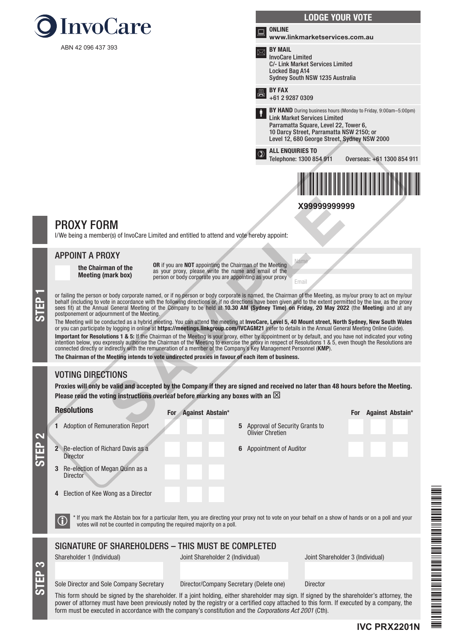



Name

Email

# PROXY FORM

I/We being a member(s) of InvoCare Limited and entitled to attend and vote hereby appoint:

### APPOINT A PROXY

the Chairman of the Meeting (mark box)

OR if you are NOT appointing the Chairman of the Meeting as your proxy, please write the name and email of the person or body corporate you are appointing as your proxy

or failing the person or body corporate named, or if no person or body corporate is named, the Chairman of the Meeting, as my/our proxy to act on my/our behalf (including to vote in accordance with the following directions behalf (including to vote in accordance with the following directions or, if no directions have been given and to the extent permitted by the law, as the proxy sees fit) at the Annual General Meeting of the Company to be held at 10.30 AM (Sydney Time) on Friday, 20 May 2022 (the Meeting) and at any postponement or adjournment of the Meeting.

The Meeting will be conducted as a hybrid meeting. You can attend the meeting at InvoCare, Level 5, 40 Mount street, North Sydney, New South Wales or you can participate by logging in online at https://meetings.linkgroup.com/IVCAGM21 (refer to details in the Annual General Meeting Online Guide). **Important for Resolutions 1 & 5:** If the Chairman of the Meeting is your proxy, either by appointment or by default, and you have not indicated your voting<br>intention below, you expressly authorise the Chairman of the Meet connected directly or indirectly with the remuneration of a member of the Company's Key Management Personnel (KMP). The Chairman of the Meeting intends to vote undirected proxies in favour of each item of business. **X9999999999999999**<br> **XYPS**<br> **XYPS**<br> **XYPS**<br> **XYPS**<br> **XYPS**<br> **XYPS**<br> **XYPS**<br> **XPS**<br> **XPS**<br> **CORPERTMENT ON THE CONSIDE CONSIDERATION**<br> **CORPERTMENT ON THE CONSIDE CONSIDE AND CONSIDERATION**<br> **CORPERTMENT ON THE CONSIDE CON** 

# VOTING DIRECTIONS

STEP 3

Proxies will only be valid and accepted by the Company if they are signed and received no later than 48 hours before the Meeting. Please read the voting instructions overleaf before marking any boxes with an  $\boxtimes$ 

|                                  | <b>Resolutions</b>                                                                                                                                                                                                                             | Against Abstain*<br>For                 |                                         | <b>Against Abstain*</b><br><b>For</b> |
|----------------------------------|------------------------------------------------------------------------------------------------------------------------------------------------------------------------------------------------------------------------------------------------|-----------------------------------------|-----------------------------------------|---------------------------------------|
| $\mathbf{\Omega}$<br><b>STEP</b> | <b>Adoption of Remuneration Report</b>                                                                                                                                                                                                         | <b>Olivier Chretien</b>                 | <b>5</b> Approval of Security Grants to |                                       |
|                                  | <b>2</b> Re-election of Richard Davis as a<br><b>Director</b>                                                                                                                                                                                  |                                         | <b>6</b> Appointment of Auditor         |                                       |
|                                  | Re-election of Megan Quinn as a<br>3<br><b>Director</b>                                                                                                                                                                                        |                                         |                                         |                                       |
|                                  | Election of Kee Wong as a Director                                                                                                                                                                                                             |                                         |                                         |                                       |
|                                  | * If you mark the Abstain box for a particular Item, you are directing your proxy not to vote on your behalf on a show of hands or on a poll and your<br>$\bigcirc$<br>votes will not be counted in computing the required majority on a poll. |                                         |                                         |                                       |
|                                  | SIGNATURE OF SHAREHOLDERS - THIS MUST BE COMPLETED                                                                                                                                                                                             |                                         |                                         |                                       |
|                                  | Shareholder 1 (Individual)                                                                                                                                                                                                                     | Joint Shareholder 2 (Individual)        | Joint Shareholder 3 (Individual)        |                                       |
| 3                                |                                                                                                                                                                                                                                                |                                         |                                         |                                       |
|                                  | Sole Director and Sole Company Secretary                                                                                                                                                                                                       | Director/Company Secretary (Delete one) | <b>Director</b>                         |                                       |
| .<br>ഗ                           | This form should he signed by the shareholder If a joint holding either shareholder may sign If signed by the shareholder's attorney the                                                                                                       |                                         |                                         |                                       |



This form should be signed by the shareholder. If a joint holding, either shareholder may sign. If signed by the shareholder's attorney, the power of attorney must have been previously noted by the registry or a certified copy attached to this form. If executed by a company, the form must be executed in accordance with the company's constitution and the *Corporations Act 2001* (Cth).

**IVC PRX2201N**